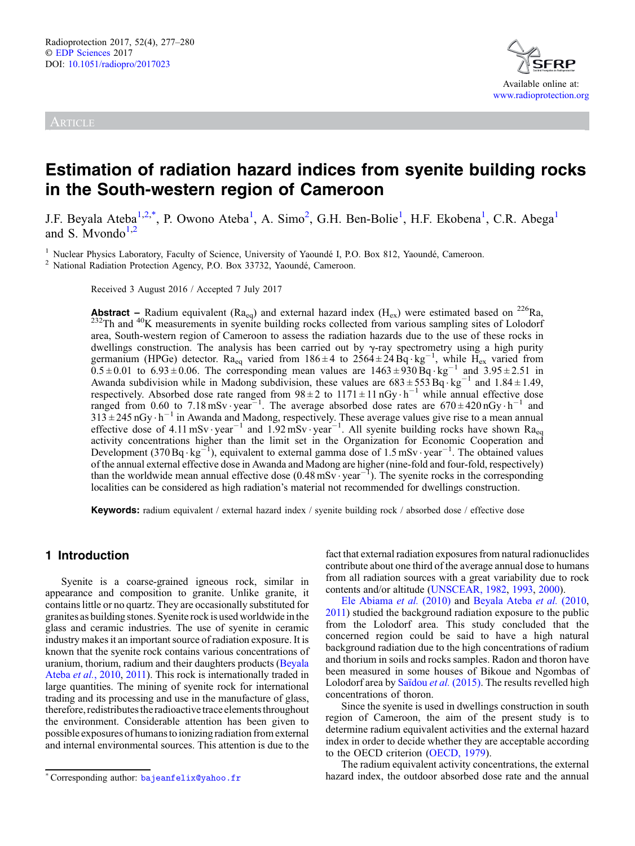ARTICLE



# Estimation of radiation hazard indices from syenite building rocks in the South-western region of Cameroon

J.F. Beyala Ateba<sup>1,2,\*</sup>, P. Owono Ateba<sup>1</sup>, A. Simo<sup>2</sup>, G.H. Ben-Bolie<sup>1</sup>, H.F. Ekobena<sup>1</sup>, C.R. Abega<sup>1</sup> and S. Myondo $1,2$ 

<sup>1</sup> Nuclear Physics Laboratory, Faculty of Science, University of Yaoundé I, P.O. Box 812, Yaoundé, Cameroon. <sup>2</sup> National Radiation Protection Agency, P.O. Box 33732, Yaoundé, Cameroon.

Received 3 August 2016 / Accepted 7 July 2017

**Abstract** – Radium equivalent ( $Ra_{eq}$ ) and external hazard index ( $H_{ex}$ ) were estimated based on <sup>226</sup>Ra, <sup>232</sup>Th and <sup>40</sup>K measurements in syenite building rocks collected from various sampling sites of Lolodorf area, South-western region of Cameroon to assess the radiation hazards due to the use of these rocks in dwellings construction. The analysis has been carried out by  $\gamma$ -ray spectrometry using a high purity germanium (HPGe) detector. Ra<sub>eq</sub> varied from  $186 \pm 4$  to  $2564 \pm 24$  Bq·kg<sup>-1</sup>, while H<sub>ex</sub> varied from  $0.5 \pm 0.01$  to  $6.93 \pm 0.06$ . The corresponding mean values are  $1463 \pm 930$  Bq $\cdot$ kg<sup>-1</sup> and  $3.95 \pm 2.51$  in Awanda subdivision while in Madong subdivision, these values are  $683 \pm 553$  Bq $\cdot$ kg<sup>-1</sup> and 1.84  $\pm$  1.49, respectively. Absorbed dose rate ranged from  $98 \pm 2$  to  $1171 \pm 11 \text{ nGy} \cdot \text{h}^{-1}$  while annual effective dose ranged from 0.60 to 7.18 mSv · year<sup>-1</sup>. The average absorbed dose rates are  $670 \pm 420$  nGy  $\cdot$  h<sup>-1</sup> and  $313 \pm 245$  nGy  $\cdot$  h<sup>-1</sup> in Awanda and Madong, respectively. These average values give rise to a mean annual effective dose of 4.11 mSv · year<sup>-1</sup> and 1.92 mSv · year<sup>-1</sup>. All syenite building rocks have shown Ra<sub>eq</sub> activity concentrations higher than the limit set in the Organization for Economic Cooperation and Development (370 Bq·kg<sup>-1</sup>), equivalent to external gamma dose of 1.5 mSv·year<sup>-1</sup>. The obtained values of the annual external effective dose in Awanda and Madong are higher (nine-fold and four-fold, respectively) than the worldwide mean annual effective dose  $(0.48 \text{ mSv} \cdot \text{year}^{-1})$ . The syenite rocks in the corresponding localities can be considered as high radiation's material not recommended for dwellings construction.

Keywords: radium equivalent / external hazard index / syenite building rock / absorbed dose / effective dose

## 1 Introduction

Syenite is a coarse-grained igneous rock, similar in appearance and composition to granite. Unlike granite, it contains little or no quartz. They are occasionally substituted for granites as building stones. Syenite rock is used worldwide in the glass and ceramic industries. The use of syenite in ceramic industry makes it an important source of radiation exposure. It is known that the syenite rock contains various concentrations of uranium, thorium, radium and their daughters products [\(Beyala](#page-3-0) Ateba et al.[, 2010](#page-3-0), [2011\)](#page-3-0). This rock is internationally traded in large quantities. The mining of syenite rock for international trading and its processing and use in the manufacture of glass, therefore, redistributes the radioactive trace elements throughout the environment. Considerable attention has been given to possible exposures of humansto ionizing radiation from external and internal environmental sources. This attention is due to the fact that external radiation exposures from natural radionuclides contribute about one third of the average annual dose to humans from all radiation sources with a great variability due to rock contents and/or altitude [\(UNSCEAR, 1982](#page-3-0), [1993](#page-3-0), [2000](#page-3-0)).

[Ele Abiama](#page-3-0) et al. (2010) and [Beyala Ateba](#page-3-0) et al. (2010, [2011](#page-3-0)) studied the background radiation exposure to the public from the Lolodorf area. This study concluded that the concerned region could be said to have a high natural background radiation due to the high concentrations of radium and thorium in soils and rocks samples. Radon and thoron have been measured in some houses of Bikoue and Ngombas of Lolodorf area by [Saïdou](#page-3-0) et al. (2015). The results revelled high concentrations of thoron.

Since the syenite is used in dwellings construction in south region of Cameroon, the aim of the present study is to determine radium equivalent activities and the external hazard index in order to decide whether they are acceptable according to the OECD criterion ([OECD, 1979\)](#page-3-0).

The radium equivalent activity concentrations, the external \*Corresponding author: [bajeanfelix@yahoo.fr](mailto:bajeanfelix@yahoo.fr) hazard index, the outdoor absorbed dose rate and the annual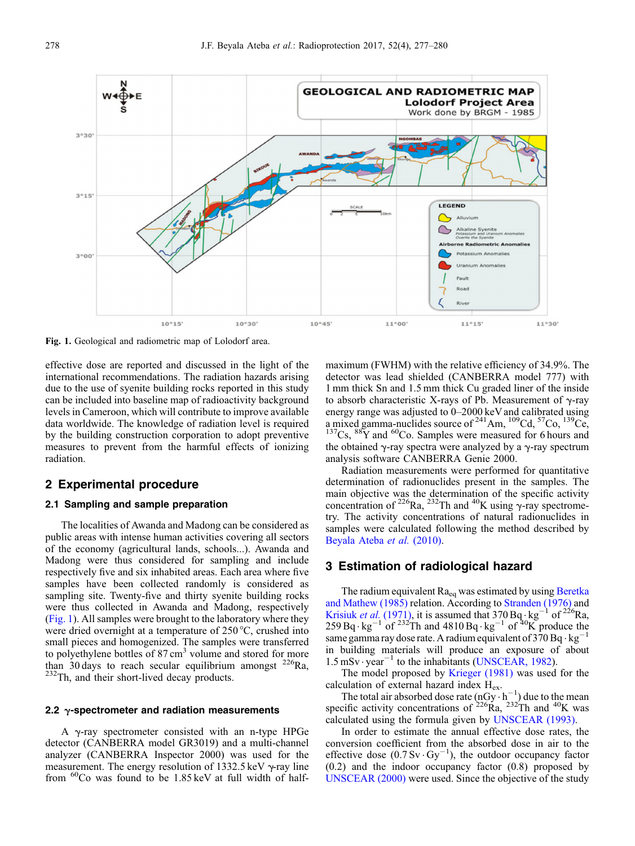

Fig. 1. Geological and radiometric map of Lolodorf area.

effective dose are reported and discussed in the light of the international recommendations. The radiation hazards arising due to the use of syenite building rocks reported in this study can be included into baseline map of radioactivity background levels in Cameroon, which will contribute to improve available data worldwide. The knowledge of radiation level is required by the building construction corporation to adopt preventive measures to prevent from the harmful effects of ionizing radiation.

# 2 Experimental procedure

### 2.1 Sampling and sample preparation

The localities of Awanda and Madong can be considered as public areas with intense human activities covering all sectors of the economy (agricultural lands, schools...). Awanda and Madong were thus considered for sampling and include respectively five and six inhabited areas. Each area where five samples have been collected randomly is considered as sampling site. Twenty-five and thirty syenite building rocks were thus collected in Awanda and Madong, respectively (Fig. 1). All samples were brought to the laboratory where they were dried overnight at a temperature of 250 °C, crushed into small pieces and homogenized. The samples were transferred to polyethylene bottles of 87 cm<sup>3</sup> volume and stored for more than 30 days to reach secular equilibrium amongst  $^{226}$ Ra,  $232$ Th, and their short-lived decay products.

#### 2.2  $\gamma$ -spectrometer and radiation measurements

<sup>A</sup> g-ray spectrometer consisted with an n-type HPGe detector (CANBERRA model GR3019) and a multi-channel analyzer (CANBERRA Inspector 2000) was used for the measurement. The energy resolution of 1332.5 keV  $\gamma$ -ray line from  $^{60}$ Co was found to be 1.85 keV at full width of halfmaximum (FWHM) with the relative efficiency of 34.9%. The detector was lead shielded (CANBERRA model 777) with 1 mm thick Sn and 1.5 mm thick Cu graded liner of the inside to absorb characteristic X-rays of Pb. Measurement of  $\gamma$ -ray energy range was adjusted to 0–2000 keV and calibrated using a mixed gamma-nuclides source of <sup>241</sup>Am, <sup>109</sup>Cd, <sup>57</sup>Co, <sup>139</sup>Ce,  $^{137}Cs$ ,  $^{88}Y$  and  $^{60}Co$ . Samples were measured for 6 hours and the obtained  $\gamma$ -ray spectra were analyzed by a  $\gamma$ -ray spectrum analysis software CANBERRA Genie 2000.

Radiation measurements were performed for quantitative determination of radionuclides present in the samples. The main objective was the determination of the specific activity concentration of  $^{226}$ Ra,  $^{232}$ Th and  $^{40}$ K using  $\gamma$ -ray spectrometry. The activity concentrations of natural radionuclides in samples were calculated following the method described by [Beyala Ateba](#page-3-0) et al. (2010).

## 3 Estimation of radiological hazard

The radium equivalent  $Ra_{eq}$  was estimated by using [Beretka](#page-3-0) [and Mathew \(1985\)](#page-3-0) relation. According to [Stranden \(1976\)](#page-3-0) and [Krisiuk](#page-3-0) et al. (1971), it is assumed that  $370 \text{Bq} \cdot \text{kg}^{-1}$  of  $226 \text{Ra}$ , 259 Bq  $\cdot$  kg<sup>-1</sup> of <sup>232</sup>Th and 4810 Bq  $\cdot$  kg<sup>-1</sup> of <sup>40</sup>K produce the same gamma ray dose rate. A radium equivalent of 370 Bq  $\cdot$  kg<sup>-</sup> in building materials will produce an exposure of about  $1.5 \text{ mSv} \cdot \text{year}^{-1}$  to the inhabitants ([UNSCEAR, 1982\)](#page-3-0).

The model proposed by [Krieger \(1981\)](#page-3-0) was used for the calculation of external hazard index Hex.

The total air absorbed dose rate  $(nGy \cdot h^{-1})$  due to the mean specific activity concentrations of  $^{226}$ Ra,  $^{232}$ Th and  $^{40}$ K was calculated using the formula given by [UNSCEAR \(1993\)](#page-3-0).

In order to estimate the annual effective dose rates, the conversion coefficient from the absorbed dose in air to the effective dose  $(0.7 \text{ Sv} \cdot \text{Gy}^{-1})$ , the outdoor occupancy factor (0.2) and the indoor occupancy factor (0.8) proposed by [UNSCEAR \(2000\)](#page-3-0) were used. Since the objective of the study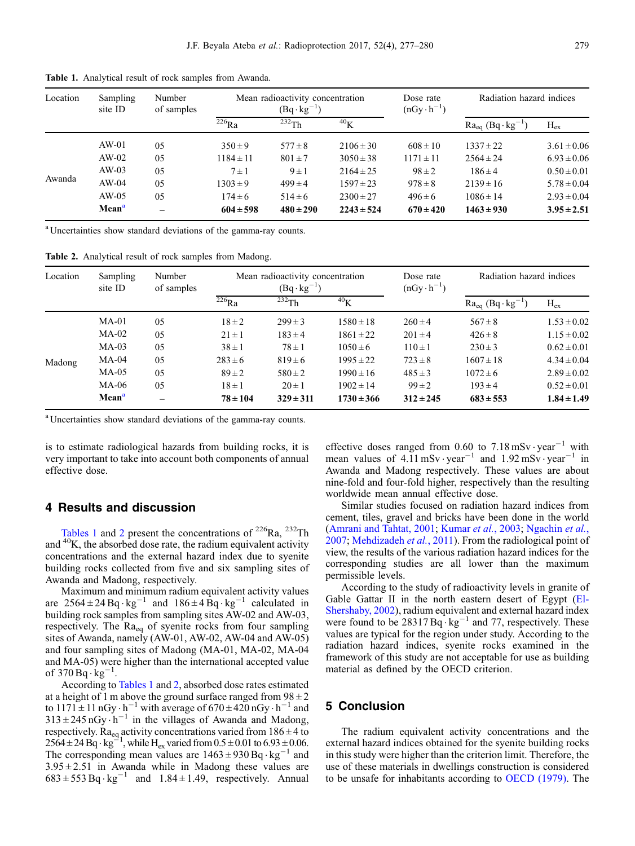| Location | Sampling<br>site ID | Number<br>of samples | Mean radioactivity concentration<br>$(Bq \cdot kg^{-1})$ |               |                | Dose rate<br>$(nGv \cdot h^{-1})$ | Radiation hazard indices      |                 |
|----------|---------------------|----------------------|----------------------------------------------------------|---------------|----------------|-----------------------------------|-------------------------------|-----------------|
|          |                     |                      | $226$ Ra                                                 | $232$ Th      | $^{40}$ K      |                                   | $Ra_{eq}$ (Bq·kg <sup>-</sup> | $H_{ex}$        |
| Awanda   | $AW-01$             | 05                   | $350 \pm 9$                                              | $577 \pm 8$   | $2106 \pm 30$  | $608 \pm 10$                      | $1337 \pm 22$                 | $3.61 \pm 0.06$ |
|          | $AW-02$             | 05                   | $1184 \pm 11$                                            | $801 \pm 7$   | $3050 \pm 38$  | $1171 \pm 11$                     | $2564 \pm 24$                 | $6.93 \pm 0.06$ |
|          | $AW-03$             | 0.5                  | $7 \pm 1$                                                | $9 \pm 1$     | $2164 \pm 25$  | $98 \pm 2$                        | $186 \pm 4$                   | $0.50 \pm 0.01$ |
|          | $AW-04$             | 0.5                  | $1303 \pm 9$                                             | $499 \pm 4$   | $1597 \pm 23$  | $978 \pm 8$                       | $2139 \pm 16$                 | $5.78 \pm 0.04$ |
|          | $AW-05$             | 0.5                  | $174 \pm 6$                                              | $514 \pm 6$   | $2300 \pm 27$  | $496 \pm 6$                       | $1086 \pm 14$                 | $2.93 \pm 0.04$ |
|          | Mean <sup>a</sup>   |                      | $604 \pm 598$                                            | $480 \pm 290$ | $2243 \pm 524$ | $670 \pm 420$                     | $1463 \pm 930$                | $3.95 \pm 2.51$ |

Table 1. Analytical result of rock samples from Awanda.

<sup>a</sup> Uncertainties show standard deviations of the gamma-ray counts.

Table 2. Analytical result of rock samples from Madong.

| Location | Sampling<br>site ID | Number<br>of samples | Mean radioactivity concentration<br>$(Bq \cdot kg^{-1})$ |               |                | Dose rate<br>$(nGv \cdot h^{-1})$ | Radiation hazard indices       |                 |
|----------|---------------------|----------------------|----------------------------------------------------------|---------------|----------------|-----------------------------------|--------------------------------|-----------------|
|          |                     |                      | $^{226}\overline{Ra}$                                    | $232$ Th      | $^{40}$ K      |                                   | $Ra_{eq}$ (Bq·kg <sup>-1</sup> | $H_{\rm ex}$    |
|          | $MA-01$             | 05                   | $18 \pm 2$                                               | $299 \pm 3$   | $1580 \pm 18$  | $260 \pm 4$                       | $567 \pm 8$                    | $1.53 \pm 0.02$ |
|          | $MA-02$             | 05                   | $21 \pm 1$                                               | $183 \pm 4$   | $1861 \pm 22$  | $201 \pm 4$                       | $426 \pm 8$                    | $1.15 \pm 0.02$ |
|          | $MA-03$             | 0.5                  | $38 \pm 1$                                               | $78 \pm 1$    | $1050 \pm 6$   | $110 \pm 1$                       | $230 \pm 3$                    | $0.62 \pm 0.01$ |
| Madong   | $MA-04$             | 0.5                  | $283 \pm 6$                                              | $819 \pm 6$   | $1995 \pm 22$  | $723 \pm 8$                       | $1607 \pm 18$                  | $4.34 \pm 0.04$ |
|          | $MA-05$             | 05                   | $89 \pm 2$                                               | $580 \pm 2$   | $1990 \pm 16$  | $485 \pm 3$                       | $1072 \pm 6$                   | $2.89 \pm 0.02$ |
|          | <b>MA-06</b>        | 05                   | $18 \pm 1$                                               | $20 \pm 1$    | $1902 \pm 14$  | $99 \pm 2$                        | $193 \pm 4$                    | $0.52 \pm 0.01$ |
|          | Mean <sup>a</sup>   |                      | $78 \pm 104$                                             | $329 \pm 311$ | $1730 \pm 366$ | $312 \pm 245$                     | $683 \pm 553$                  | $1.84 \pm 1.49$ |

<sup>a</sup> Uncertainties show standard deviations of the gamma-ray counts.

is to estimate radiological hazards from building rocks, it is very important to take into account both components of annual effective dose.

## 4 Results and discussion

Tables 1 and 2 present the concentrations of  $^{226}$ Ra,  $^{232}$ Th and 40K, the absorbed dose rate, the radium equivalent activity concentrations and the external hazard index due to syenite building rocks collected from five and six sampling sites of Awanda and Madong, respectively.

Maximum and minimum radium equivalent activity values are  $2564 \pm 24$  Bq·kg<sup>-1</sup> and  $186 \pm 4$  Bq·kg<sup>-1</sup> calculated in building rock samples from sampling sites AW-02 and AW-03, respectively. The  $Ra_{eq}$  of syenite rocks from four sampling sites of Awanda, namely (AW-01, AW-02, AW-04 and AW-05) and four sampling sites of Madong (MA-01, MA-02, MA-04 and MA-05) were higher than the international accepted value of  $370 \text{Bq} \cdot \text{kg}^{-1}$ .

According to Tables 1 and 2, absorbed dose rates estimated at a height of 1 m above the ground surface ranged from  $98 \pm 2$ to  $1171 \pm 11 \text{ nGy} \cdot \text{h}^{-1}$  with average of  $670 \pm 420 \text{ nGy} \cdot \text{h}^{-1}$  and  $313 \pm 245 \text{ nGy} \cdot \text{h}^{-1}$  in the villages of Awanda and Madong, respectively. Ra<sub>eq</sub> activity concentrations varied from  $186 \pm 4$  to  $2564 \pm 24 \,\text{Bq} \cdot \text{kg}^{-1}$ , while H<sub>ex</sub> varied from  $0.5 \pm 0.01$  to  $6.93 \pm 0.06$ . The corresponding mean values are  $1463 \pm 930$  Bq $\cdot$ kg<sup>-1</sup> and  $3.95 \pm 2.51$  in Awanda while in Madong these values are  $683 \pm 553$  Bq $\cdot$ kg<sup>-1</sup> and  $1.84 \pm 1.49$ , respectively. Annual

effective doses ranged from 0.60 to  $7.18 \text{ mSv} \cdot \text{year}^{-1}$  with mean values of  $4.11 \text{ mSv} \cdot \text{year}^{-1}$  and  $1.92 \text{ mSv} \cdot \text{year}^{-1}$  in Awanda and Madong respectively. These values are about nine-fold and four-fold higher, respectively than the resulting worldwide mean annual effective dose.

Similar studies focused on radiation hazard indices from cement, tiles, gravel and bricks have been done in the world ([Amrani and Tahtat, 2001](#page-3-0); [Kumar](#page-3-0) et al., 2003; [Ngachin](#page-3-0) et al., [2007](#page-3-0); [Mehdizadeh](#page-3-0) et al., 2011). From the radiological point of view, the results of the various radiation hazard indices for the corresponding studies are all lower than the maximum permissible levels.

According to the study of radioactivity levels in granite of Gable Gattar II in the north eastern desert of Egypt ([El-](#page-3-0)[Shershaby, 2002\)](#page-3-0), radium equivalent and external hazard index were found to be  $28317 \text{ Bq} \cdot \text{kg}^{-1}$  and 77, respectively. These values are typical for the region under study. According to the radiation hazard indices, syenite rocks examined in the framework of this study are not acceptable for use as building material as defined by the OECD criterion.

## 5 Conclusion

The radium equivalent activity concentrations and the external hazard indices obtained for the syenite building rocks in this study were higher than the criterion limit. Therefore, the use of these materials in dwellings construction is considered to be unsafe for inhabitants according to [OECD \(1979\)](#page-3-0). The